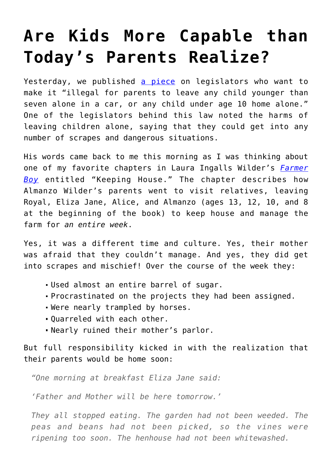## **[Are Kids More Capable than](https://intellectualtakeout.org/2016/04/are-kids-more-capable-than-todays-parents-realize/) [Today's Parents Realize?](https://intellectualtakeout.org/2016/04/are-kids-more-capable-than-todays-parents-realize/)**

Yesterday, we published [a piece](https://www.intellectualtakeout.org/blog/why-big-government-wants-micromanage-your-parenting) on legislators who want to make it "illegal for parents to leave any child younger than seven alone in a car, or any child under age 10 home alone." One of the legislators behind this law noted the harms of leaving children alone, saying that they could get into any number of scrapes and dangerous situations.

His words came back to me this morning as I was thinking about one of my favorite chapters in Laura Ingalls Wilder's *[Farmer](http://www.amazon.com/gp/product/0064400034/ref=as_li_qf_sp_asin_il_tl?ie=UTF8&camp=1789&creative=9325&creativeASIN=0064400034&linkCode=as2&tag=intelltakeo0d-20&linkId=XBN2QM5XCWBLPPAG) [Boy](http://www.amazon.com/gp/product/0064400034/ref=as_li_qf_sp_asin_il_tl?ie=UTF8&camp=1789&creative=9325&creativeASIN=0064400034&linkCode=as2&tag=intelltakeo0d-20&linkId=XBN2QM5XCWBLPPAG)* entitled "Keeping House." The chapter describes how Almanzo Wilder's parents went to visit relatives, leaving Royal, Eliza Jane, Alice, and Almanzo (ages 13, 12, 10, and 8 at the beginning of the book) to keep house and manage the farm for *an entire week*.

Yes, it was a different time and culture. Yes, their mother was afraid that they couldn't manage. And yes, they did get into scrapes and mischief! Over the course of the week they:

- Used almost an entire barrel of sugar.
- Procrastinated on the projects they had been assigned.
- Were nearly trampled by horses.
- Quarreled with each other.
- Nearly ruined their mother's parlor.

But full responsibility kicked in with the realization that their parents would be home soon:

*"One morning at breakfast Eliza Jane said:*

*'Father and Mother will be here tomorrow.'*

*They all stopped eating. The garden had not been weeded. The peas and beans had not been picked, so the vines were ripening too soon. The henhouse had not been whitewashed.*